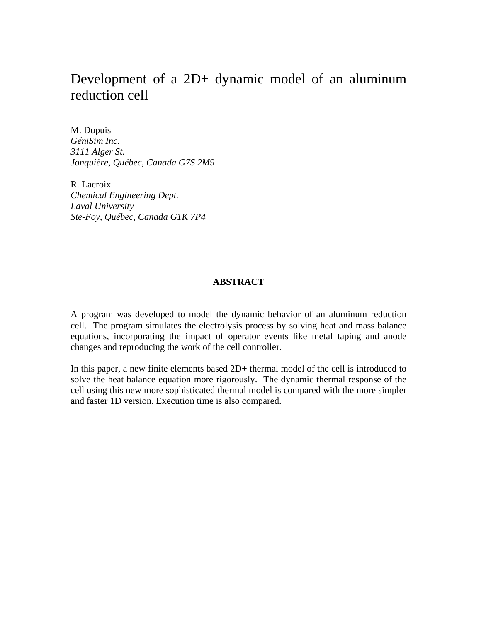# Development of a 2D+ dynamic model of an aluminum reduction cell

M. Dupuis *GéniSim Inc. 3111 Alger St. Jonquière, Québec, Canada G7S 2M9*

R. Lacroix *Chemical Engineering Dept. Laval University Ste-Foy, Québec, Canada G1K 7P4*

#### **ABSTRACT**

A program was developed to model the dynamic behavior of an aluminum reduction cell. The program simulates the electrolysis process by solving heat and mass balance equations, incorporating the impact of operator events like metal taping and anode changes and reproducing the work of the cell controller.

In this paper, a new finite elements based 2D+ thermal model of the cell is introduced to solve the heat balance equation more rigorously. The dynamic thermal response of the cell using this new more sophisticated thermal model is compared with the more simpler and faster 1D version. Execution time is also compared.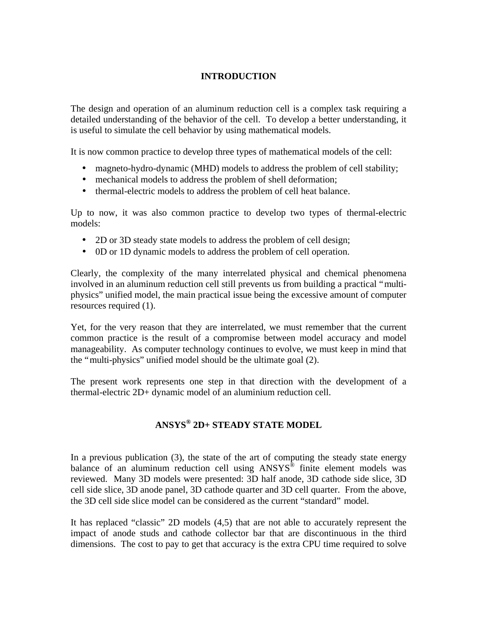## **INTRODUCTION**

The design and operation of an aluminum reduction cell is a complex task requiring a detailed understanding of the behavior of the cell. To develop a better understanding, it is useful to simulate the cell behavior by using mathematical models.

It is now common practice to develop three types of mathematical models of the cell:

- magneto-hydro-dynamic (MHD) models to address the problem of cell stability;
- mechanical models to address the problem of shell deformation;
- thermal-electric models to address the problem of cell heat balance.

Up to now, it was also common practice to develop two types of thermal-electric models:

- 2D or 3D steady state models to address the problem of cell design;
- 0D or 1D dynamic models to address the problem of cell operation.

Clearly, the complexity of the many interrelated physical and chemical phenomena involved in an aluminum reduction cell still prevents us from building a practical "multiphysics" unified model, the main practical issue being the excessive amount of computer resources required (1).

Yet, for the very reason that they are interrelated, we must remember that the current common practice is the result of a compromise between model accuracy and model manageability. As computer technology continues to evolve, we must keep in mind that the "multi-physics" unified model should be the ultimate goal (2).

The present work represents one step in that direction with the development of a thermal-electric 2D+ dynamic model of an aluminium reduction cell.

# **ANSYS® 2D+ STEADY STATE MODEL**

In a previous publication (3), the state of the art of computing the steady state energy balance of an aluminum reduction cell using ANSYS® finite element models was reviewed. Many 3D models were presented: 3D half anode, 3D cathode side slice, 3D cell side slice, 3D anode panel, 3D cathode quarter and 3D cell quarter. From the above, the 3D cell side slice model can be considered as the current "standard" model.

It has replaced "classic" 2D models (4,5) that are not able to accurately represent the impact of anode studs and cathode collector bar that are discontinuous in the third dimensions. The cost to pay to get that accuracy is the extra CPU time required to solve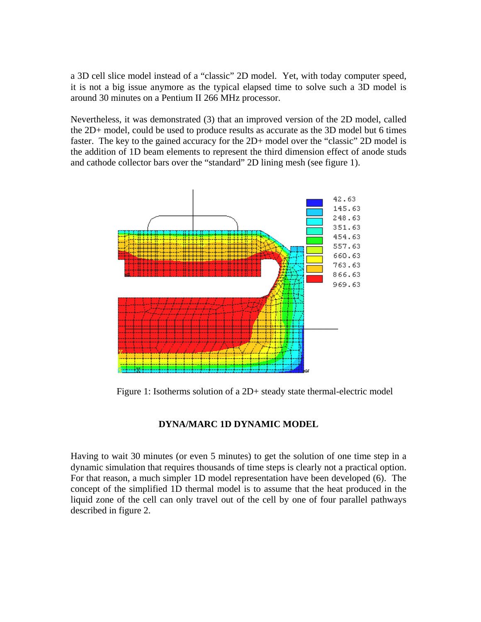a 3D cell slice model instead of a "classic" 2D model. Yet, with today computer speed, it is not a big issue anymore as the typical elapsed time to solve such a 3D model is around 30 minutes on a Pentium II 266 MHz processor.

Nevertheless, it was demonstrated (3) that an improved version of the 2D model, called the 2D+ model, could be used to produce results as accurate as the 3D model but 6 times faster. The key to the gained accuracy for the 2D+ model over the "classic" 2D model is the addition of 1D beam elements to represent the third dimension effect of anode studs and cathode collector bars over the "standard" 2D lining mesh (see figure 1).



Figure 1: Isotherms solution of a 2D+ steady state thermal-electric model

## **DYNA/MARC 1D DYNAMIC MODEL**

Having to wait 30 minutes (or even 5 minutes) to get the solution of one time step in a dynamic simulation that requires thousands of time steps is clearly not a practical option. For that reason, a much simpler 1D model representation have been developed (6). The concept of the simplified 1D thermal model is to assume that the heat produced in the liquid zone of the cell can only travel out of the cell by one of four parallel pathways described in figure 2.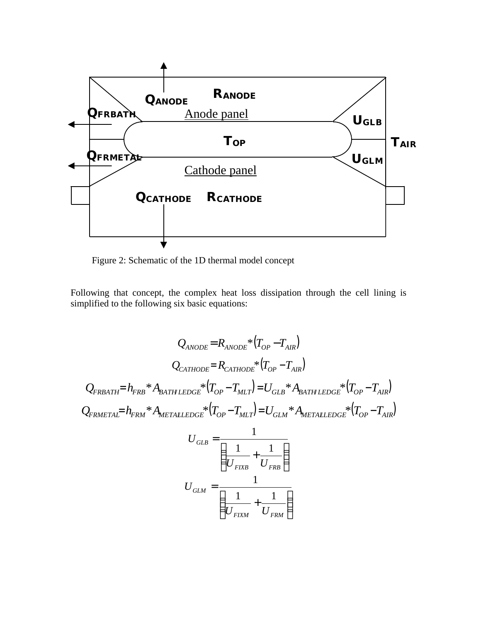

Figure 2: Schematic of the 1D thermal model concept

Following that concept, the complex heat loss dissipation through the cell lining is simplified to the following six basic equations:

$$
Q_{ANODE} = R_{ANODE} * (T_{OP} - T_{AIR})
$$
\n
$$
Q_{CATHODE} = R_{CATHODE} * (T_{OP} - T_{AIR})
$$
\n
$$
Q_{FRBATH} = h_{FRB} * A_{BATH LEDGE} * (T_{OP} - T_{MLT}) = U_{GLB} * A_{BATHLEDGE} * (T_{OP} - T_{AIR})
$$
\n
$$
Q_{FRMETALEDGE} * (T_{OP} - T_{MLT}) = U_{GLM} * A_{METALEDGE} * (T_{OP} - T_{AIR})
$$
\n
$$
U_{GLB} = \frac{1}{\left(\frac{1}{U_{FIXB}} + \frac{1}{U_{FRB}}\right)}
$$
\n
$$
U_{GLM} = \frac{1}{\left(\frac{1}{U_{FIXM}} + \frac{1}{U_{FRM}}\right)}
$$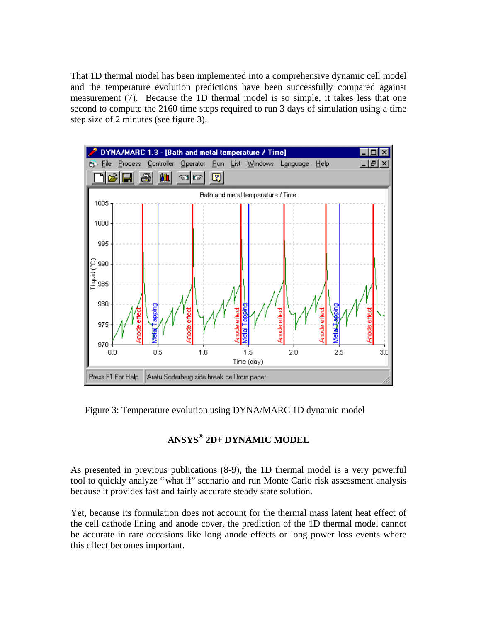That 1D thermal model has been implemented into a comprehensive dynamic cell model and the temperature evolution predictions have been successfully compared against measurement (7). Because the 1D thermal model is so simple, it takes less that one second to compute the 2160 time steps required to run 3 days of simulation using a time step size of 2 minutes (see figure 3).



Figure 3: Temperature evolution using DYNA/MARC 1D dynamic model

# **ANSYS® 2D+ DYNAMIC MODEL**

As presented in previous publications (8-9), the 1D thermal model is a very powerful tool to quickly analyze "what if" scenario and run Monte Carlo risk assessment analysis because it provides fast and fairly accurate steady state solution.

Yet, because its formulation does not account for the thermal mass latent heat effect of the cell cathode lining and anode cover, the prediction of the 1D thermal model cannot be accurate in rare occasions like long anode effects or long power loss events where this effect becomes important.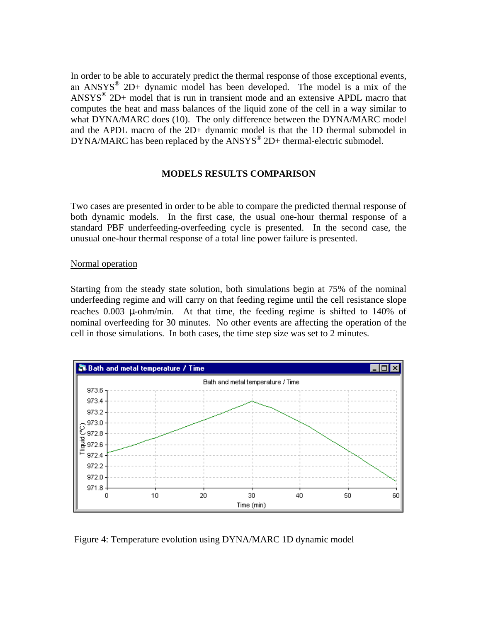In order to be able to accurately predict the thermal response of those exceptional events, an  $ANSYS^{\circledR}$  2D+ dynamic model has been developed. The model is a mix of the ANSYS® 2D+ model that is run in transient mode and an extensive APDL macro that computes the heat and mass balances of the liquid zone of the cell in a way similar to what DYNA/MARC does (10). The only difference between the DYNA/MARC model and the APDL macro of the 2D+ dynamic model is that the 1D thermal submodel in DYNA/MARC has been replaced by the  $ANSYS^{\circledast}$  2D+ thermal-electric submodel.

#### **MODELS RESULTS COMPARISON**

Two cases are presented in order to be able to compare the predicted thermal response of both dynamic models. In the first case, the usual one-hour thermal response of a standard PBF underfeeding-overfeeding cycle is presented. In the second case, the unusual one-hour thermal response of a total line power failure is presented.

#### Normal operation

Starting from the steady state solution, both simulations begin at 75% of the nominal underfeeding regime and will carry on that feeding regime until the cell resistance slope reaches 0.003 μ-ohm/min. At that time, the feeding regime is shifted to 140% of nominal overfeeding for 30 minutes. No other events are affecting the operation of the cell in those simulations. In both cases, the time step size was set to 2 minutes.



Figure 4: Temperature evolution using DYNA/MARC 1D dynamic model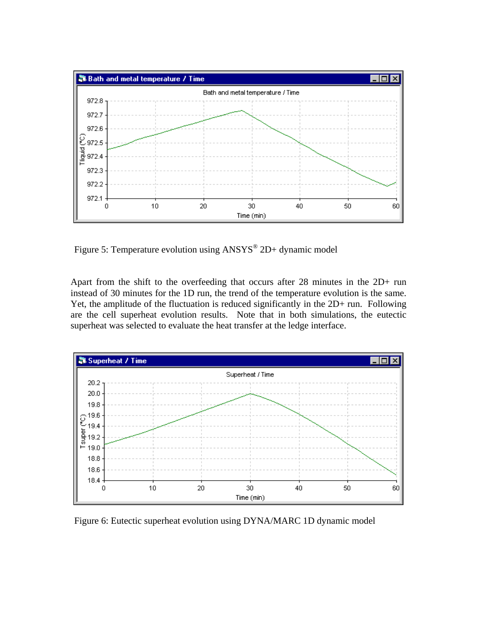

Figure 5: Temperature evolution using  $ANSYS^{\circledR}$  2D+ dynamic model

Apart from the shift to the overfeeding that occurs after 28 minutes in the 2D+ run instead of 30 minutes for the 1D run, the trend of the temperature evolution is the same. Yet, the amplitude of the fluctuation is reduced significantly in the 2D+ run. Following are the cell superheat evolution results. Note that in both simulations, the eutectic superheat was selected to evaluate the heat transfer at the ledge interface.



Figure 6: Eutectic superheat evolution using DYNA/MARC 1D dynamic model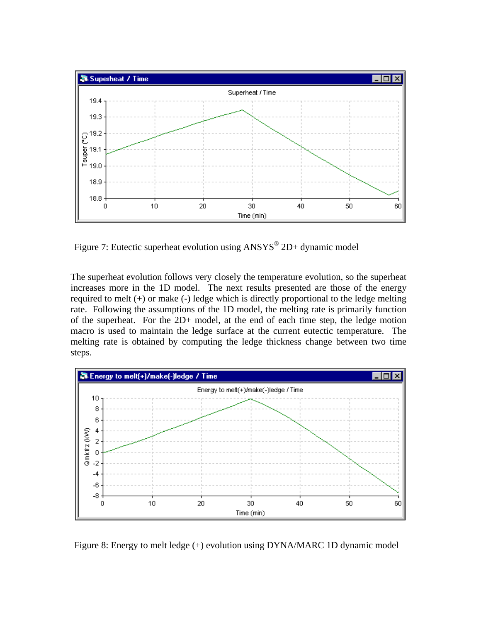

Figure 7: Eutectic superheat evolution using  $ANSYS^{\circledast}$  2D+ dynamic model

The superheat evolution follows very closely the temperature evolution, so the superheat increases more in the 1D model. The next results presented are those of the energy required to melt (+) or make (-) ledge which is directly proportional to the ledge melting rate. Following the assumptions of the 1D model, the melting rate is primarily function of the superheat. For the 2D+ model, at the end of each time step, the ledge motion macro is used to maintain the ledge surface at the current eutectic temperature. The melting rate is obtained by computing the ledge thickness change between two time steps.



Figure 8: Energy to melt ledge (+) evolution using DYNA/MARC 1D dynamic model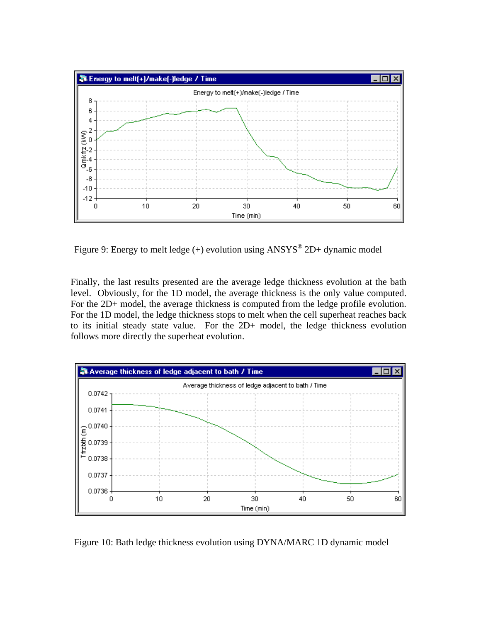

Figure 9: Energy to melt ledge (+) evolution using  $ANSYS^{\circledast}$  2D+ dynamic model

Finally, the last results presented are the average ledge thickness evolution at the bath level. Obviously, for the 1D model, the average thickness is the only value computed. For the 2D+ model, the average thickness is computed from the ledge profile evolution. For the 1D model, the ledge thickness stops to melt when the cell superheat reaches back to its initial steady state value. For the 2D+ model, the ledge thickness evolution follows more directly the superheat evolution.



Figure 10: Bath ledge thickness evolution using DYNA/MARC 1D dynamic model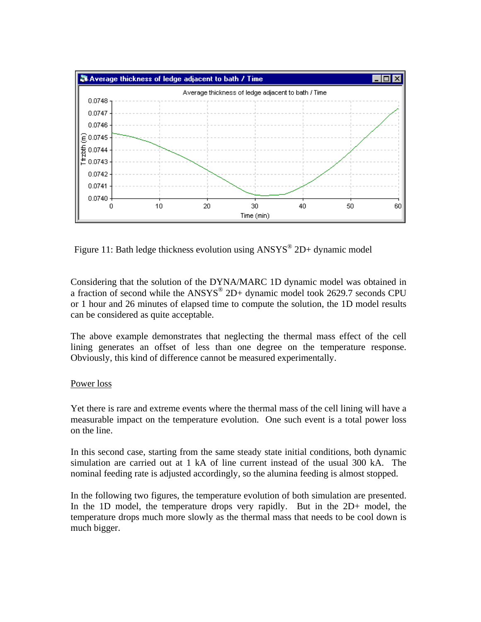

Figure 11: Bath ledge thickness evolution using  $ANSYS^@$  2D+ dynamic model

Considering that the solution of the DYNA/MARC 1D dynamic model was obtained in a fraction of second while the ANSYS® 2D+ dynamic model took 2629.7 seconds CPU or 1 hour and 26 minutes of elapsed time to compute the solution, the 1D model results can be considered as quite acceptable.

The above example demonstrates that neglecting the thermal mass effect of the cell lining generates an offset of less than one degree on the temperature response. Obviously, this kind of difference cannot be measured experimentally.

#### Power loss

Yet there is rare and extreme events where the thermal mass of the cell lining will have a measurable impact on the temperature evolution. One such event is a total power loss on the line.

In this second case, starting from the same steady state initial conditions, both dynamic simulation are carried out at 1 kA of line current instead of the usual 300 kA. The nominal feeding rate is adjusted accordingly, so the alumina feeding is almost stopped.

In the following two figures, the temperature evolution of both simulation are presented. In the 1D model, the temperature drops very rapidly. But in the 2D+ model, the temperature drops much more slowly as the thermal mass that needs to be cool down is much bigger.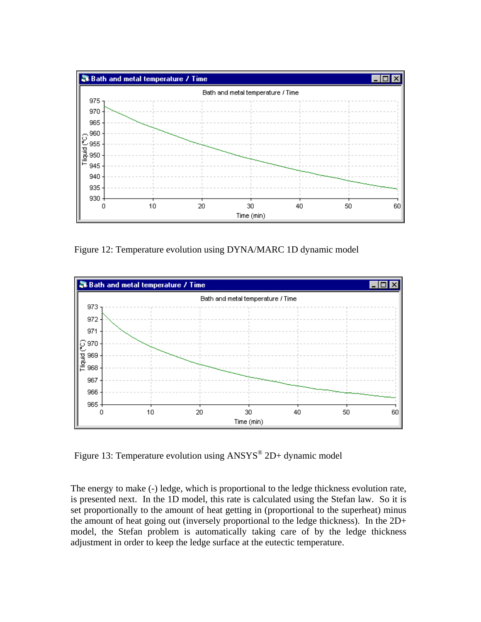

Figure 12: Temperature evolution using DYNA/MARC 1D dynamic model



Figure 13: Temperature evolution using ANSYS<sup>®</sup> 2D+ dynamic model

The energy to make (-) ledge, which is proportional to the ledge thickness evolution rate, is presented next. In the 1D model, this rate is calculated using the Stefan law. So it is set proportionally to the amount of heat getting in (proportional to the superheat) minus the amount of heat going out (inversely proportional to the ledge thickness). In the 2D+ model, the Stefan problem is automatically taking care of by the ledge thickness adjustment in order to keep the ledge surface at the eutectic temperature.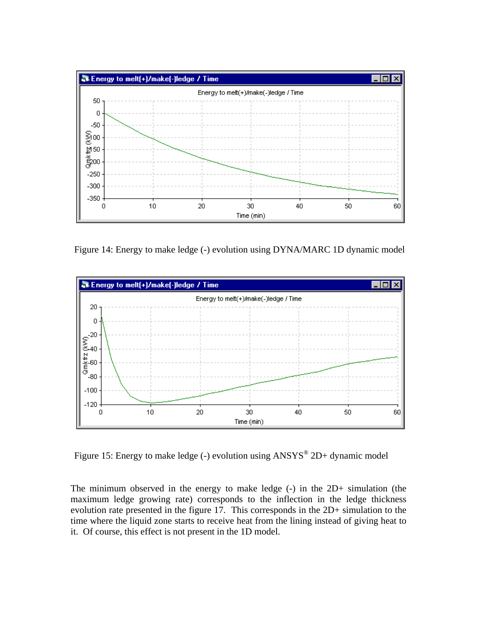

Figure 14: Energy to make ledge (-) evolution using DYNA/MARC 1D dynamic model



Figure 15: Energy to make ledge (-) evolution using  $ANSYS^@$  2D+ dynamic model

The minimum observed in the energy to make ledge (-) in the 2D+ simulation (the maximum ledge growing rate) corresponds to the inflection in the ledge thickness evolution rate presented in the figure 17. This corresponds in the 2D+ simulation to the time where the liquid zone starts to receive heat from the lining instead of giving heat to it. Of course, this effect is not present in the 1D model.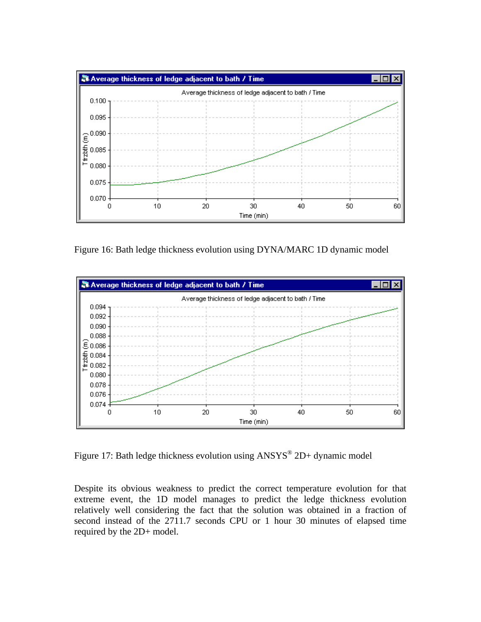

Figure 16: Bath ledge thickness evolution using DYNA/MARC 1D dynamic model



Figure 17: Bath ledge thickness evolution using  $ANSYS^@$  2D+ dynamic model

Despite its obvious weakness to predict the correct temperature evolution for that extreme event, the 1D model manages to predict the ledge thickness evolution relatively well considering the fact that the solution was obtained in a fraction of second instead of the 2711.7 seconds CPU or 1 hour 30 minutes of elapsed time required by the 2D+ model.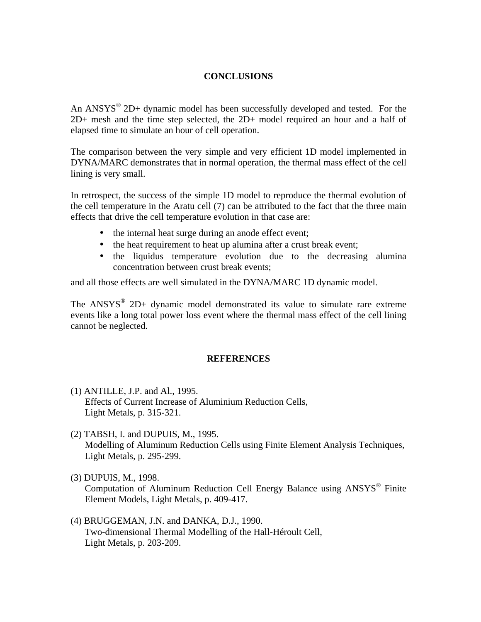## **CONCLUSIONS**

An  $ANSYS^{\circledast}$  2D+ dynamic model has been successfully developed and tested. For the 2D+ mesh and the time step selected, the 2D+ model required an hour and a half of elapsed time to simulate an hour of cell operation.

The comparison between the very simple and very efficient 1D model implemented in DYNA/MARC demonstrates that in normal operation, the thermal mass effect of the cell lining is very small.

In retrospect, the success of the simple 1D model to reproduce the thermal evolution of the cell temperature in the Aratu cell (7) can be attributed to the fact that the three main effects that drive the cell temperature evolution in that case are:

- the internal heat surge during an anode effect event;
- the heat requirement to heat up alumina after a crust break event;
- the liquidus temperature evolution due to the decreasing alumina concentration between crust break events;

and all those effects are well simulated in the DYNA/MARC 1D dynamic model.

The  $ANSYS^{\circledast}$  2D+ dynamic model demonstrated its value to simulate rare extreme events like a long total power loss event where the thermal mass effect of the cell lining cannot be neglected.

#### **REFERENCES**

- (1) ANTILLE, J.P. and Al., 1995. Effects of Current Increase of Aluminium Reduction Cells, Light Metals, p. 315-321.
- (2) TABSH, I. and DUPUIS, M., 1995. Modelling of Aluminum Reduction Cells using Finite Element Analysis Techniques, Light Metals, p. 295-299.
- (3) DUPUIS, M., 1998. Computation of Aluminum Reduction Cell Energy Balance using ANSYS® Finite Element Models, Light Metals, p. 409-417.
- (4) BRUGGEMAN, J.N. and DANKA, D.J., 1990. Two-dimensional Thermal Modelling of the Hall-Héroult Cell, Light Metals, p. 203-209.